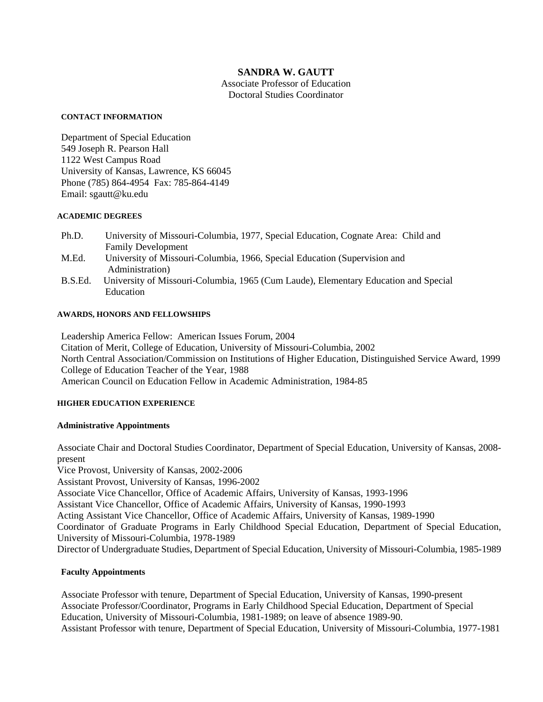# **SANDRA W. GAUTT**

Associate Professor of Education Doctoral Studies Coordinator

#### **CONTACT INFORMATION**

Department of Special Education 549 Joseph R. Pearson Hall 1122 West Campus Road University of Kansas, Lawrence, KS 66045 Phone (785) 864-4954 Fax: 785-864-4149 Email: sgautt@ku.edu

#### **ACADEMIC DEGREES**

- Ph.D. University of Missouri-Columbia, 1977, Special Education, Cognate Area: Child and Family Development
- M.Ed. University of Missouri-Columbia, 1966, Special Education (Supervision and Administration)
- B.S.Ed. University of Missouri-Columbia, 1965 (Cum Laude), Elementary Education and Special Education

#### **AWARDS, HONORS AND FELLOWSHIPS**

Leadership America Fellow: American Issues Forum, 2004 Citation of Merit, College of Education, University of Missouri-Columbia, 2002 North Central Association/Commission on Institutions of Higher Education, Distinguished Service Award, 1999 College of Education Teacher of the Year, 1988 American Council on Education Fellow in Academic Administration, 1984-85

#### **HIGHER EDUCATION EXPERIENCE**

#### **Administrative Appointments**

Associate Chair and Doctoral Studies Coordinator, Department of Special Education, University of Kansas, 2008 present

Vice Provost, University of Kansas, 2002-2006

Assistant Provost, University of Kansas, 1996-2002

Associate Vice Chancellor, Office of Academic Affairs, University of Kansas, 1993-1996

Assistant Vice Chancellor, Office of Academic Affairs, University of Kansas, 1990-1993

Acting Assistant Vice Chancellor, Office of Academic Affairs, University of Kansas, 1989-1990

Coordinator of Graduate Programs in Early Childhood Special Education, Department of Special Education, University of Missouri-Columbia, 1978-1989

Director of Undergraduate Studies, Department of Special Education, University of Missouri-Columbia, 1985-1989

## **Faculty Appointments**

Associate Professor with tenure, Department of Special Education, University of Kansas, 1990-present Associate Professor/Coordinator, Programs in Early Childhood Special Education, Department of Special Education, University of Missouri-Columbia, 1981-1989; on leave of absence 1989-90. Assistant Professor with tenure, Department of Special Education, University of Missouri-Columbia, 1977-1981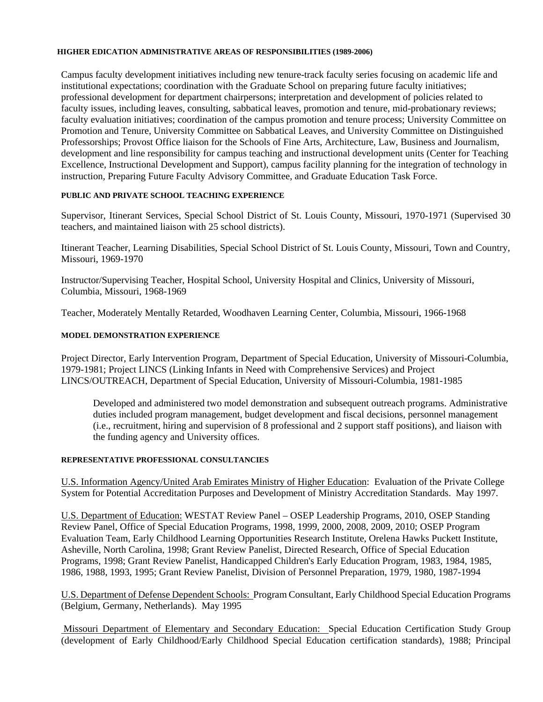#### **HIGHER EDICATION ADMINISTRATIVE AREAS OF RESPONSIBILITIES (1989-2006)**

Campus faculty development initiatives including new tenure-track faculty series focusing on academic life and institutional expectations; coordination with the Graduate School on preparing future faculty initiatives; professional development for department chairpersons; interpretation and development of policies related to faculty issues, including leaves, consulting, sabbatical leaves, promotion and tenure, mid-probationary reviews; faculty evaluation initiatives; coordination of the campus promotion and tenure process; University Committee on Promotion and Tenure, University Committee on Sabbatical Leaves, and University Committee on Distinguished Professorships; Provost Office liaison for the Schools of Fine Arts, Architecture, Law, Business and Journalism, development and line responsibility for campus teaching and instructional development units (Center for Teaching Excellence, Instructional Development and Support), campus facility planning for the integration of technology in instruction, Preparing Future Faculty Advisory Committee, and Graduate Education Task Force.

## **PUBLIC AND PRIVATE SCHOOL TEACHING EXPERIENCE**

Supervisor, Itinerant Services, Special School District of St. Louis County, Missouri, 1970-1971 (Supervised 30 teachers, and maintained liaison with 25 school districts).

Itinerant Teacher, Learning Disabilities, Special School District of St. Louis County, Missouri, Town and Country, Missouri, 1969-1970

Instructor/Supervising Teacher, Hospital School, University Hospital and Clinics, University of Missouri, Columbia, Missouri, 1968-1969

Teacher, Moderately Mentally Retarded, Woodhaven Learning Center, Columbia, Missouri, 1966-1968

### **MODEL DEMONSTRATION EXPERIENCE**

Project Director, Early Intervention Program, Department of Special Education, University of Missouri-Columbia, 1979-1981; Project LINCS (Linking Infants in Need with Comprehensive Services) and Project LINCS/OUTREACH, Department of Special Education, University of Missouri-Columbia, 1981-1985

Developed and administered two model demonstration and subsequent outreach programs. Administrative duties included program management, budget development and fiscal decisions, personnel management (i.e., recruitment, hiring and supervision of 8 professional and 2 support staff positions), and liaison with the funding agency and University offices.

## **REPRESENTATIVE PROFESSIONAL CONSULTANCIES**

U.S. Information Agency/United Arab Emirates Ministry of Higher Education: Evaluation of the Private College System for Potential Accreditation Purposes and Development of Ministry Accreditation Standards. May 1997.

U.S. Department of Education: WESTAT Review Panel – OSEP Leadership Programs, 2010, OSEP Standing Review Panel, Office of Special Education Programs, 1998, 1999, 2000, 2008, 2009, 2010; OSEP Program Evaluation Team, Early Childhood Learning Opportunities Research Institute, Orelena Hawks Puckett Institute, Asheville, North Carolina, 1998; Grant Review Panelist, Directed Research, Office of Special Education Programs, 1998; Grant Review Panelist, Handicapped Children's Early Education Program, 1983, 1984, 1985, 1986, 1988, 1993, 1995; Grant Review Panelist, Division of Personnel Preparation, 1979, 1980, 1987-1994

U.S. Department of Defense Dependent Schools: Program Consultant, Early Childhood Special Education Programs (Belgium, Germany, Netherlands). May 1995

 Missouri Department of Elementary and Secondary Education: Special Education Certification Study Group (development of Early Childhood/Early Childhood Special Education certification standards), 1988; Principal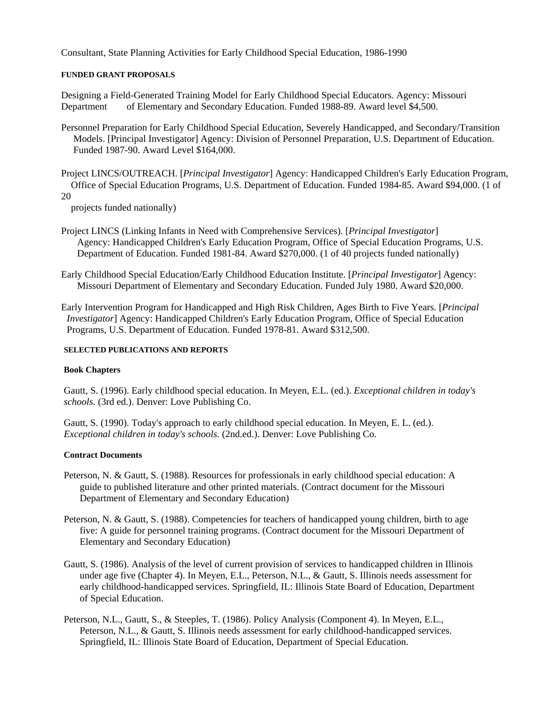Consultant, State Planning Activities for Early Childhood Special Education, 1986-1990

#### **FUNDED GRANT PROPOSALS**

Designing a Field-Generated Training Model for Early Childhood Special Educators. Agency: Missouri Department of Elementary and Secondary Education. Funded 1988-89. Award level \$4,500.

- Personnel Preparation for Early Childhood Special Education, Severely Handicapped, and Secondary/Transition Models. [Principal Investigator] Agency: Division of Personnel Preparation, U.S. Department of Education. Funded 1987-90. Award Level \$164,000.
- Project LINCS/OUTREACH. [*Principal Investigator*] Agency: Handicapped Children's Early Education Program, Office of Special Education Programs, U.S. Department of Education. Funded 1984-85. Award \$94,000. (1 of 20

projects funded nationally)

- Project LINCS (Linking Infants in Need with Comprehensive Services). [*Principal Investigator*] Agency: Handicapped Children's Early Education Program, Office of Special Education Programs, U.S. Department of Education. Funded 1981-84. Award \$270,000. (1 of 40 projects funded nationally)
- Early Childhood Special Education/Early Childhood Education Institute. [*Principal Investigator*] Agency: Missouri Department of Elementary and Secondary Education. Funded July 1980. Award \$20,000.

Early Intervention Program for Handicapped and High Risk Children, Ages Birth to Five Years. [*Principal Investigator*] Agency: Handicapped Children's Early Education Program, Office of Special Education Programs, U.S. Department of Education. Funded 1978-81. Award \$312,500.

#### **SELECTED PUBLICATIONS AND REPORTS**

#### **Book Chapters**

Gautt, S. (1996). Early childhood special education. In Meyen, E.L. (ed.). *Exceptional children in today's schools.* (3rd ed.). Denver: Love Publishing Co.

Gautt, S. (1990). Today's approach to early childhood special education. In Meyen, E. L. (ed.). *Exceptional children in today's schools.* (2nd.ed.). Denver: Love Publishing Co.

#### **Contract Documents**

- Peterson, N. & Gautt, S. (1988). Resources for professionals in early childhood special education: A guide to published literature and other printed materials. (Contract document for the Missouri Department of Elementary and Secondary Education)
- Peterson, N. & Gautt, S. (1988). Competencies for teachers of handicapped young children, birth to age five: A guide for personnel training programs. (Contract document for the Missouri Department of Elementary and Secondary Education)
- Gautt, S. (1986). Analysis of the level of current provision of services to handicapped children in Illinois under age five (Chapter 4). In Meyen, E.L., Peterson, N.L., & Gautt, S. Illinois needs assessment for early childhood-handicapped services. Springfield, IL: Illinois State Board of Education, Department of Special Education.
- Peterson, N.L., Gautt, S., & Steeples, T. (1986). Policy Analysis (Component 4). In Meyen, E.L., Peterson, N.L., & Gautt, S. Illinois needs assessment for early childhood-handicapped services. Springfield, IL: Illinois State Board of Education, Department of Special Education.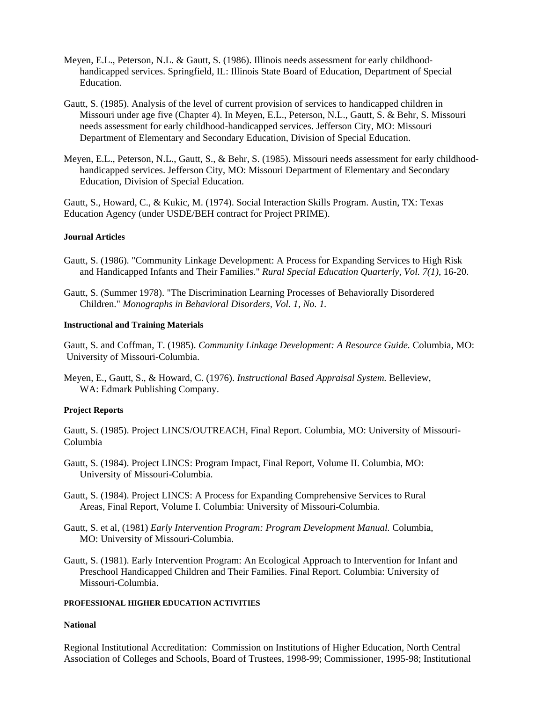- Meyen, E.L., Peterson, N.L. & Gautt, S. (1986). Illinois needs assessment for early childhoodhandicapped services. Springfield, IL: Illinois State Board of Education, Department of Special Education.
- Gautt, S. (1985). Analysis of the level of current provision of services to handicapped children in Missouri under age five (Chapter 4). In Meyen, E.L., Peterson, N.L., Gautt, S. & Behr, S. Missouri needs assessment for early childhood-handicapped services. Jefferson City, MO: Missouri Department of Elementary and Secondary Education, Division of Special Education.
- Meyen, E.L., Peterson, N.L., Gautt, S., & Behr, S. (1985). Missouri needs assessment for early childhoodhandicapped services. Jefferson City, MO: Missouri Department of Elementary and Secondary Education, Division of Special Education.

Gautt, S., Howard, C., & Kukic, M. (1974). Social Interaction Skills Program. Austin, TX: Texas Education Agency (under USDE/BEH contract for Project PRIME).

#### **Journal Articles**

- Gautt, S. (1986). "Community Linkage Development: A Process for Expanding Services to High Risk and Handicapped Infants and Their Families." *Rural Special Education Quarterly, Vol. 7(1)*, 16-20.
- Gautt, S. (Summer 1978). "The Discrimination Learning Processes of Behaviorally Disordered Children." *Monographs in Behavioral Disorders, Vol. 1, No. 1.*

#### **Instructional and Training Materials**

Gautt, S. and Coffman, T. (1985). *Community Linkage Development: A Resource Guide.* Columbia, MO: University of Missouri-Columbia.

Meyen, E., Gautt, S., & Howard, C. (1976). *Instructional Based Appraisal System.* Belleview, WA: Edmark Publishing Company.

#### **Project Reports**

Gautt, S. (1985). Project LINCS/OUTREACH, Final Report. Columbia, MO: University of Missouri-Columbia

- Gautt, S. (1984). Project LINCS: Program Impact, Final Report, Volume II. Columbia, MO: University of Missouri-Columbia.
- Gautt, S. (1984). Project LINCS: A Process for Expanding Comprehensive Services to Rural Areas, Final Report, Volume I. Columbia: University of Missouri-Columbia.
- Gautt, S. et al, (1981) *Early Intervention Program: Program Development Manual.* Columbia, MO: University of Missouri-Columbia.
- Gautt, S. (1981). Early Intervention Program: An Ecological Approach to Intervention for Infant and Preschool Handicapped Children and Their Families. Final Report. Columbia: University of Missouri-Columbia.

## **PROFESSIONAL HIGHER EDUCATION ACTIVITIES**

#### **National**

Regional Institutional Accreditation: Commission on Institutions of Higher Education, North Central Association of Colleges and Schools, Board of Trustees, 1998-99; Commissioner, 1995-98; Institutional